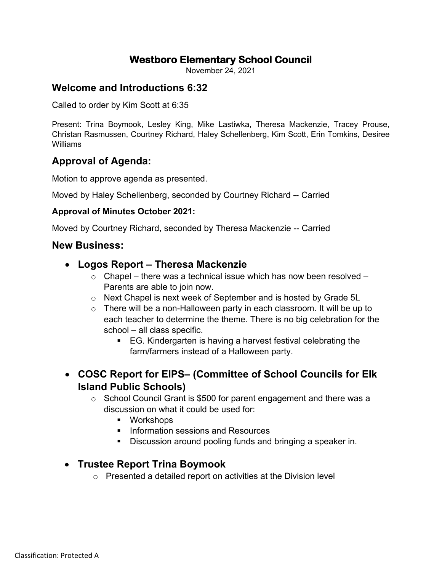# **Westboro Elementary School Council**

November 24, 2021

## **Welcome and Introductions 6:32**

Called to order by Kim Scott at 6:35

Present: Trina Boymook, Lesley King, Mike Lastiwka, Theresa Mackenzie, Tracey Prouse, Christan Rasmussen, Courtney Richard, Haley Schellenberg, Kim Scott, Erin Tomkins, Desiree Williams

## **Approval of Agenda:**

Motion to approve agenda as presented.

Moved by Haley Schellenberg, seconded by Courtney Richard -- Carried

#### **Approval of Minutes October 2021:**

Moved by Courtney Richard, seconded by Theresa Mackenzie -- Carried

### **New Business:**

- **Logos Report – Theresa Mackenzie**
	- $\circ$  Chapel there was a technical issue which has now been resolved Parents are able to join now.
	- o Next Chapel is next week of September and is hosted by Grade 5L
	- o There will be a non-Halloween party in each classroom. It will be up to each teacher to determine the theme. There is no big celebration for the school – all class specific.
		- EG. Kindergarten is having a harvest festival celebrating the farm/farmers instead of a Halloween party.
- **COSC Report for EIPS– (Committee of School Councils for Elk Island Public Schools)**
	- o School Council Grant is \$500 for parent engagement and there was a discussion on what it could be used for:
		- **•** Workshops
		- **Information sessions and Resources**
		- Discussion around pooling funds and bringing a speaker in.

### • **Trustee Report Trina Boymook**

o Presented a detailed report on activities at the Division level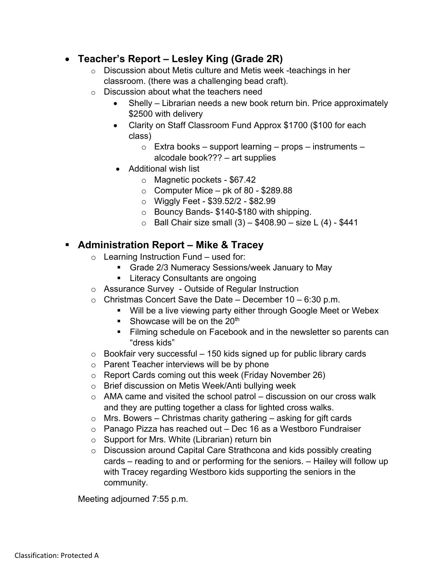## • **Teacher's Report – Lesley King (Grade 2R)**

- o Discussion about Metis culture and Metis week -teachings in her classroom. (there was a challenging bead craft).
- o Discussion about what the teachers need
	- Shelly Librarian needs a new book return bin. Price approximately \$2500 with delivery
	- Clarity on Staff Classroom Fund Approx \$1700 (\$100 for each class)
		- $\circ$  Extra books support learning props instruments alcodale book??? – art supplies
	- Additional wish list
		- o Magnetic pockets \$67.42
		- $\circ$  Computer Mice pk of 80 \$289.88
		- o Wiggly Feet \$39.52/2 \$82.99
		- o Bouncy Bands- \$140-\$180 with shipping.
		- $\circ$  Ball Chair size small (3) \$408.90 size L (4) \$441

## **Administration Report – Mike & Tracey**

- $\circ$  Learning Instruction Fund used for:
	- Grade 2/3 Numeracy Sessions/week January to May
	- **Literacy Consultants are ongoing**
- o Assurance Survey Outside of Regular Instruction
- $\circ$  Christmas Concert Save the Date December 10 6:30 p.m.
	- **Will be a live viewing party either through Google Meet or Webex**
	- Showcase will be on the  $20<sup>th</sup>$
	- **Filming schedule on Facebook and in the newsletter so parents can** "dress kids"
- $\circ$  Bookfair very successful 150 kids signed up for public library cards
- o Parent Teacher interviews will be by phone
- o Report Cards coming out this week (Friday November 26)
- o Brief discussion on Metis Week/Anti bullying week
- $\circ$  AMA came and visited the school patrol discussion on our cross walk and they are putting together a class for lighted cross walks.
- $\circ$  Mrs. Bowers Christmas charity gathering asking for gift cards
- o Panago Pizza has reached out Dec 16 as a Westboro Fundraiser
- o Support for Mrs. White (Librarian) return bin
- o Discussion around Capital Care Strathcona and kids possibly creating cards – reading to and or performing for the seniors. – Hailey will follow up with Tracey regarding Westboro kids supporting the seniors in the community.

Meeting adjourned 7:55 p.m.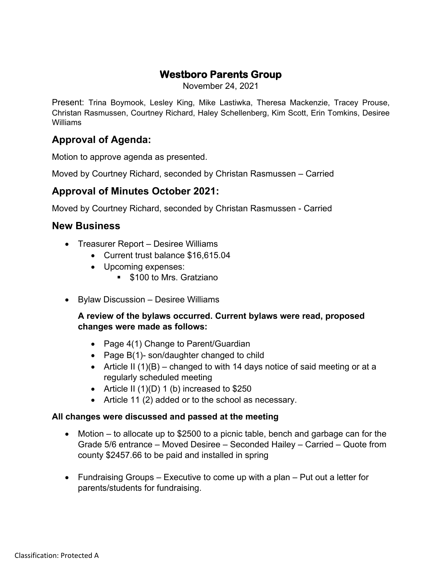# **Westboro Parents Group**

November 24, 2021

Present: Trina Boymook, Lesley King, Mike Lastiwka, Theresa Mackenzie, Tracey Prouse, Christan Rasmussen, Courtney Richard, Haley Schellenberg, Kim Scott, Erin Tomkins, Desiree Williams

# **Approval of Agenda:**

Motion to approve agenda as presented.

Moved by Courtney Richard, seconded by Christan Rasmussen – Carried

## **Approval of Minutes October 2021:**

Moved by Courtney Richard, seconded by Christan Rasmussen - Carried

## **New Business**

- Treasurer Report Desiree Williams
	- Current trust balance \$16,615.04
	- Upcoming expenses:
		- **S100 to Mrs. Gratziano**
- Bylaw Discussion Desiree Williams

### **A review of the bylaws occurred. Current bylaws were read, proposed changes were made as follows:**

- Page 4(1) Change to Parent/Guardian
- Page B(1)- son/daughter changed to child
- Article II  $(1)(B)$  changed to with 14 days notice of said meeting or at a regularly scheduled meeting
- Article II  $(1)(D) 1$  (b) increased to \$250
- Article 11 (2) added or to the school as necessary.

#### **All changes were discussed and passed at the meeting**

- Motion to allocate up to \$2500 to a picnic table, bench and garbage can for the Grade 5/6 entrance – Moved Desiree – Seconded Hailey – Carried – Quote from county \$2457.66 to be paid and installed in spring
- Fundraising Groups Executive to come up with a plan Put out a letter for parents/students for fundraising.